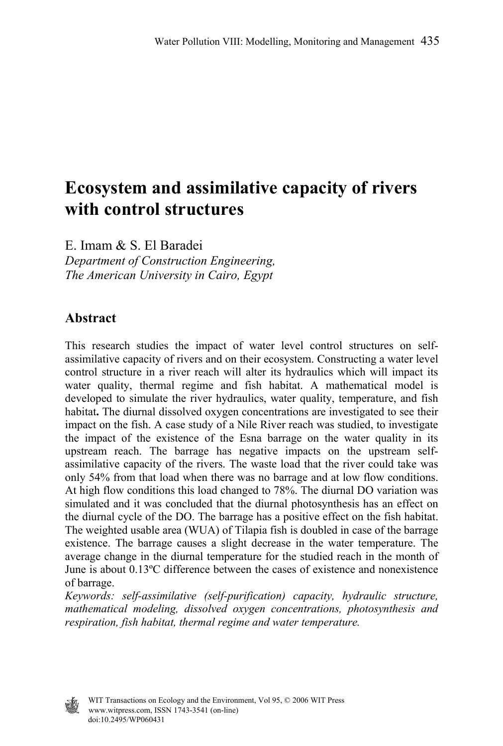# **Ecosystem and assimilative capacity of rivers with control structures**

E. Imam & S. El Baradei *Department of Construction Engineering, The American University in Cairo, Egypt* 

# **Abstract**

This research studies the impact of water level control structures on selfassimilative capacity of rivers and on their ecosystem. Constructing a water level control structure in a river reach will alter its hydraulics which will impact its water quality, thermal regime and fish habitat. A mathematical model is developed to simulate the river hydraulics, water quality, temperature, and fish habitat**.** The diurnal dissolved oxygen concentrations are investigated to see their impact on the fish. A case study of a Nile River reach was studied, to investigate the impact of the existence of the Esna barrage on the water quality in its upstream reach. The barrage has negative impacts on the upstream selfassimilative capacity of the rivers. The waste load that the river could take was only 54% from that load when there was no barrage and at low flow conditions. At high flow conditions this load changed to 78%. The diurnal DO variation was simulated and it was concluded that the diurnal photosynthesis has an effect on the diurnal cycle of the DO. The barrage has a positive effect on the fish habitat. The weighted usable area (WUA) of Tilapia fish is doubled in case of the barrage existence. The barrage causes a slight decrease in the water temperature. The average change in the diurnal temperature for the studied reach in the month of June is about 0.13ºC difference between the cases of existence and nonexistence of barrage.

*Keywords: self-assimilative (self-purification) capacity, hydraulic structure, mathematical modeling, dissolved oxygen concentrations, photosynthesis and respiration, fish habitat, thermal regime and water temperature.* 

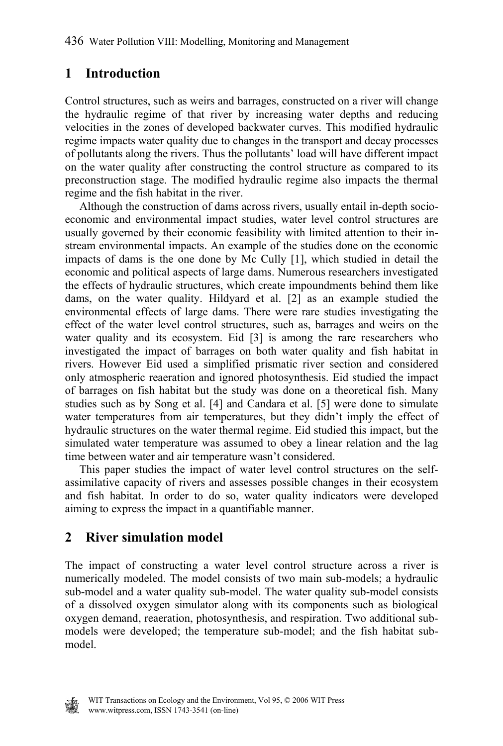# **1 Introduction**

Control structures, such as weirs and barrages, constructed on a river will change the hydraulic regime of that river by increasing water depths and reducing velocities in the zones of developed backwater curves. This modified hydraulic regime impacts water quality due to changes in the transport and decay processes of pollutants along the rivers. Thus the pollutants' load will have different impact on the water quality after constructing the control structure as compared to its preconstruction stage. The modified hydraulic regime also impacts the thermal regime and the fish habitat in the river.

 Although the construction of dams across rivers, usually entail in-depth socioeconomic and environmental impact studies, water level control structures are usually governed by their economic feasibility with limited attention to their instream environmental impacts. An example of the studies done on the economic impacts of dams is the one done by Mc Cully [1], which studied in detail the economic and political aspects of large dams. Numerous researchers investigated the effects of hydraulic structures, which create impoundments behind them like dams, on the water quality. Hildyard et al. [2] as an example studied the environmental effects of large dams. There were rare studies investigating the effect of the water level control structures, such as, barrages and weirs on the water quality and its ecosystem. Eid [3] is among the rare researchers who investigated the impact of barrages on both water quality and fish habitat in rivers. However Eid used a simplified prismatic river section and considered only atmospheric reaeration and ignored photosynthesis. Eid studied the impact of barrages on fish habitat but the study was done on a theoretical fish. Many studies such as by Song et al. [4] and Candara et al. [5] were done to simulate water temperatures from air temperatures, but they didn't imply the effect of hydraulic structures on the water thermal regime. Eid studied this impact, but the simulated water temperature was assumed to obey a linear relation and the lag time between water and air temperature wasn't considered.

 This paper studies the impact of water level control structures on the selfassimilative capacity of rivers and assesses possible changes in their ecosystem and fish habitat. In order to do so, water quality indicators were developed aiming to express the impact in a quantifiable manner.

# **2 River simulation model**

The impact of constructing a water level control structure across a river is numerically modeled. The model consists of two main sub-models; a hydraulic sub-model and a water quality sub-model. The water quality sub-model consists of a dissolved oxygen simulator along with its components such as biological oxygen demand, reaeration, photosynthesis, and respiration. Two additional submodels were developed; the temperature sub-model; and the fish habitat submodel.

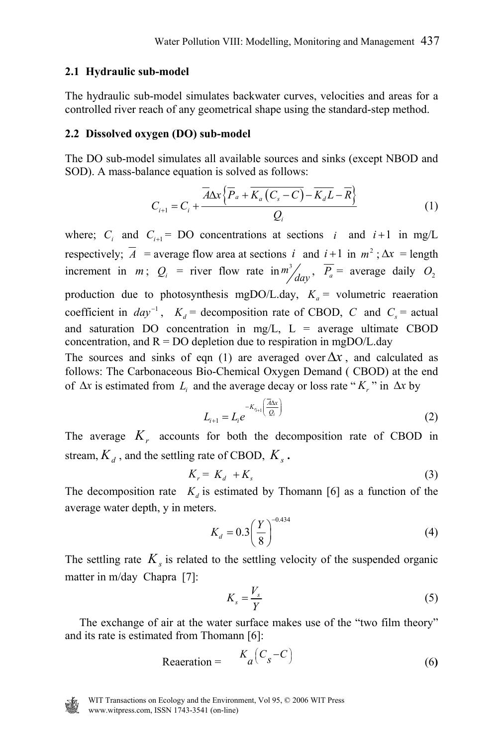#### **2.1 Hydraulic sub-model**

The hydraulic sub-model simulates backwater curves, velocities and areas for a controlled river reach of any geometrical shape using the standard-step method.

#### **2.2 Dissolved oxygen (DO) sub-model**

The DO sub-model simulates all available sources and sinks (except NBOD and SOD). A mass-balance equation is solved as follows:

$$
C_{i+1} = C_i + \frac{\overline{A}\Delta x \left\{ \overline{P}_a + \overline{K_a \left( C_s - C \right)} - \overline{K_a L} - \overline{R} \right\}}{Q_i}
$$
(1)

where;  $C_i$  and  $C_{i+1}$  = DO concentrations at sections *i* and *i*+1 in mg/L respectively;  $\overline{A}$  = average flow area at sections *i* and *i*+1 in  $m^2$ ;  $\Delta x$  = length increment in *m*;  $Q_i$  = river flow rate in  $m^3 / \frac{P_a}{P_a}$  = average daily  $O_2$ production due to photosynthesis mgDO/L.day,  $K_a$  = volumetric reaeration coefficient in  $day^{-1}$ ,  $K_d$  = decomposition rate of CBOD, *C* and  $C_s$  = actual and saturation DO concentration in mg/L,  $L =$  average ultimate CBOD concentration, and  $R = DO$  depletion due to respiration in mgDO/L.day The sources and sinks of eqn (1) are averaged over  $\Delta x$ , and calculated as follows: The Carbonaceous Bio-Chemical Oxygen Demand ( CBOD) at the end of ∆*x* is estimated from *Li* and the average decay or loss rate " *Kr* " in ∆*x* by

$$
L_{i+1} = L_i e^{-K_{\pi_{i+1}}\left(\frac{\overline{A}\Delta x}{Q_i}\right)}
$$
 (2)

The average  $K<sub>r</sub>$  accounts for both the decomposition rate of CBOD in stream,  $K_d$ , and the settling rate of CBOD,  $K_s$ .

$$
K_r = K_d + K_s \tag{3}
$$

The decomposition rate  $K_d$  is estimated by Thomann [6] as a function of the average water depth, y in meters.

$$
K_d = 0.3 \left(\frac{Y}{8}\right)^{-0.434} \tag{4}
$$

The settling rate  $K<sub>s</sub>$  is related to the settling velocity of the suspended organic matter in m/day Chapra[7]:

$$
K_s = \frac{V_s}{Y}
$$
 (5)

 The exchange of air at the water surface makes use of the "two film theory" and its rate is estimated from Thomann [6]:

$$
Reaceration = \tK_a (C_s - C) \t(6)
$$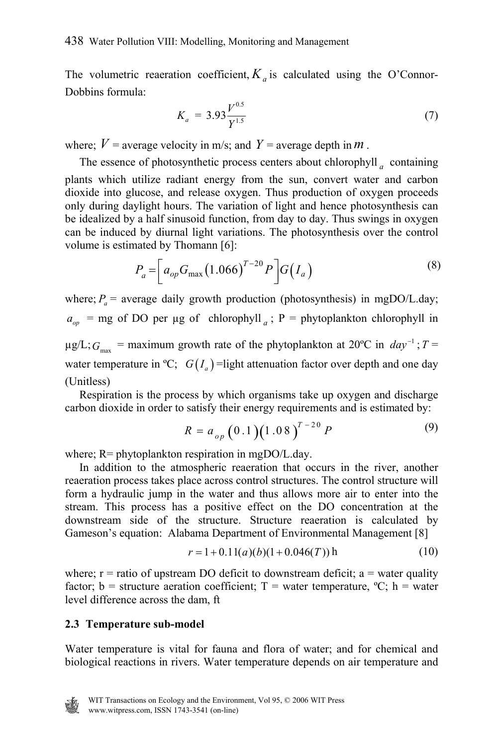The volumetric reaeration coefficient,  $K_a$  is calculated using the O'Connor-Dobbins formula:

$$
K_a = 3.93 \frac{V^{0.5}}{Y^{1.5}}
$$
 (7)

where;  $V =$  average velocity in m/s; and  $Y =$  average depth in  $m$ .

 The essence of photosynthetic process centers about chlorophyll *<sup>a</sup>* containing plants which utilize radiant energy from the sun, convert water and carbon dioxide into glucose, and release oxygen. Thus production of oxygen proceeds only during daylight hours. The variation of light and hence photosynthesis can be idealized by a half sinusoid function, from day to day. Thus swings in oxygen can be induced by diurnal light variations. The photosynthesis over the control volume is estimated by Thomann [6]:

$$
P_a = \left[ a_{op} G_{\text{max}} (1.066)^{T-20} P \right] G(I_a)
$$
 (8)

where;  $P_a$  = average daily growth production (photosynthesis) in mgDO/L.day;  $a_{op}$  = mg of DO per µg of chlorophyll *a*; P = phytoplankton chlorophyll in  $\mu$ g/L;  $G_{\text{max}}$  = maximum growth rate of the phytoplankton at 20°C in *day*<sup>-1</sup>; *T* = water temperature in <sup>o</sup>C;  $G(I_a)$  =light attenuation factor over depth and one day (Unitless)

 Respiration is the process by which organisms take up oxygen and discharge carbon dioxide in order to satisfy their energy requirements and is estimated by:

$$
R = a_{op} \left( 0.1 \right) \left( 1.08 \right)^{T-20} P \tag{9}
$$

where; R= phytoplankton respiration in mgDO/L.day.

 In addition to the atmospheric reaeration that occurs in the river, another reaeration process takes place across control structures. The control structure will form a hydraulic jump in the water and thus allows more air to enter into the stream. This process has a positive effect on the DO concentration at the downstream side of the structure. Structure reaeration is calculated by Gameson's equation: Alabama Department of Environmental Management [8]

$$
r = 1 + 0.11(a)(b)(1 + 0.046(T)) \,\mathrm{h} \tag{10}
$$

where;  $r =$  ratio of upstream DO deficit to downstream deficit;  $a =$  water quality factor; b = structure aeration coefficient; T = water temperature,  ${}^{\circ}C$ ; h = water level difference across the dam, ft

#### **2.3 Temperature sub-model**

Water temperature is vital for fauna and flora of water; and for chemical and biological reactions in rivers. Water temperature depends on air temperature and

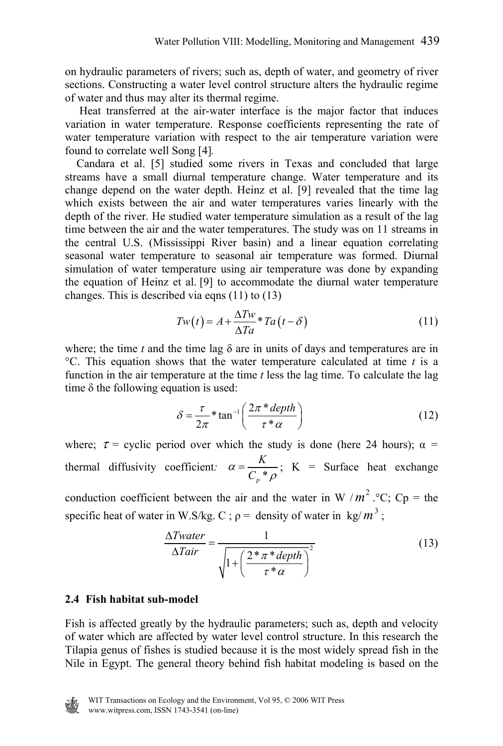on hydraulic parameters of rivers; such as, depth of water, and geometry of river sections. Constructing a water level control structure alters the hydraulic regime of water and thus may alter its thermal regime.

 Heat transferred at the air-water interface is the major factor that induces variation in water temperature. Response coefficients representing the rate of water temperature variation with respect to the air temperature variation were found to correlate well Song [4]*.*

Candara et al. [5] studied some rivers in Texas and concluded that large streams have a small diurnal temperature change. Water temperature and its change depend on the water depth. Heinz et al. [9] revealed that the time lag which exists between the air and water temperatures varies linearly with the depth of the river. He studied water temperature simulation as a result of the lag time between the air and the water temperatures. The study was on 11 streams in the central U.S. (Mississippi River basin) and a linear equation correlating seasonal water temperature to seasonal air temperature was formed. Diurnal simulation of water temperature using air temperature was done by expanding the equation of Heinz et al. [9] to accommodate the diurnal water temperature changes. This is described via eqns (11) to (13)

$$
Tw(t) = A + \frac{\Delta Tw}{\Delta Ta} * Ta(t - \delta)
$$
\n(11)

where; the time  $t$  and the time lag  $\delta$  are in units of days and temperatures are in °C. This equation shows that the water temperature calculated at time *t* is a function in the air temperature at the time *t* less the lag time. To calculate the lag time  $\delta$  the following equation is used:

$$
\delta = \frac{\tau}{2\pi} * \tan^{-1} \left( \frac{2\pi * depth}{\tau * \alpha} \right)
$$
 (12)

where;  $\tau$  = cyclic period over which the study is done (here 24 hours);  $\alpha$  = thermal diffusivity coefficient:  $\alpha = \frac{R}{C_p}$ *K*  $\alpha = \frac{R}{C_p * \rho}$ ; K = Surface heat exchange

conduction coefficient between the air and the water in W / $m^2$ . °C; Cp = the specific heat of water in W.S/kg. C;  $\rho$  = density of water in kg/ $m^3$ ;

$$
\frac{\Delta Twater}{\Delta Tair} = \frac{1}{\sqrt{1 + \left(\frac{2 \cdot \pi \cdot \text{depth}}{\tau \cdot \alpha}\right)^2}}
$$
(13)

#### **2.4 Fish habitat sub-model**

Fish is affected greatly by the hydraulic parameters; such as, depth and velocity of water which are affected by water level control structure. In this research the Tilapia genus of fishes is studied because it is the most widely spread fish in the Nile in Egypt. The general theory behind fish habitat modeling is based on the

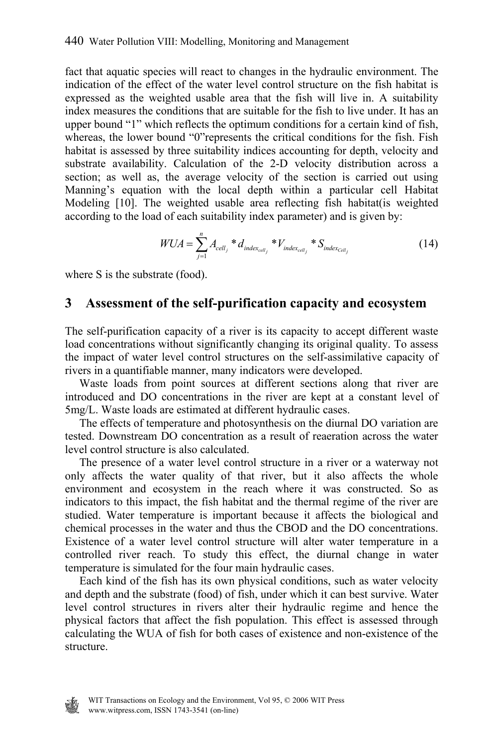fact that aquatic species will react to changes in the hydraulic environment. The indication of the effect of the water level control structure on the fish habitat is expressed as the weighted usable area that the fish will live in. A suitability index measures the conditions that are suitable for the fish to live under. It has an upper bound "1" which reflects the optimum conditions for a certain kind of fish, whereas, the lower bound "0"represents the critical conditions for the fish. Fish habitat is assessed by three suitability indices accounting for depth, velocity and substrate availability. Calculation of the 2-D velocity distribution across a section; as well as, the average velocity of the section is carried out using Manning's equation with the local depth within a particular cell Habitat Modeling [10]. The weighted usable area reflecting fish habitat(is weighted according to the load of each suitability index parameter) and is given by:

$$
WUA = \sum_{j=1}^{n} A_{cell_j} * d_{index_{cell_j}} * V_{index_{cell_j}} * S_{index_{Cell_j}}
$$
(14)

where S is the substrate (food).

### **3 Assessment of the self-purification capacity and ecosystem**

The self-purification capacity of a river is its capacity to accept different waste load concentrations without significantly changing its original quality. To assess the impact of water level control structures on the self-assimilative capacity of rivers in a quantifiable manner, many indicators were developed.

 Waste loads from point sources at different sections along that river are introduced and DO concentrations in the river are kept at a constant level of 5mg/L. Waste loads are estimated at different hydraulic cases.

 The effects of temperature and photosynthesis on the diurnal DO variation are tested. Downstream DO concentration as a result of reaeration across the water level control structure is also calculated.

 The presence of a water level control structure in a river or a waterway not only affects the water quality of that river, but it also affects the whole environment and ecosystem in the reach where it was constructed. So as indicators to this impact, the fish habitat and the thermal regime of the river are studied. Water temperature is important because it affects the biological and chemical processes in the water and thus the CBOD and the DO concentrations. Existence of a water level control structure will alter water temperature in a controlled river reach. To study this effect, the diurnal change in water temperature is simulated for the four main hydraulic cases.

 Each kind of the fish has its own physical conditions, such as water velocity and depth and the substrate (food) of fish, under which it can best survive. Water level control structures in rivers alter their hydraulic regime and hence the physical factors that affect the fish population. This effect is assessed through calculating the WUA of fish for both cases of existence and non-existence of the structure.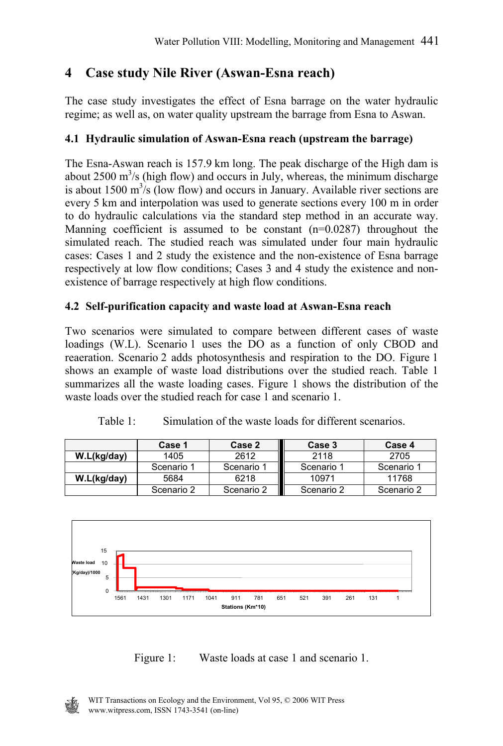# **4 Case study Nile River (Aswan-Esna reach)**

The case study investigates the effect of Esna barrage on the water hydraulic regime; as well as, on water quality upstream the barrage from Esna to Aswan.

### **4.1 Hydraulic simulation of Aswan-Esna reach (upstream the barrage)**

The Esna-Aswan reach is 157.9 km long. The peak discharge of the High dam is about  $2500 \text{ m}^3/\text{s}$  (high flow) and occurs in July, whereas, the minimum discharge is about 1500  $\text{m}^3/\text{s}$  (low flow) and occurs in January. Available river sections are every 5 km and interpolation was used to generate sections every 100 m in order to do hydraulic calculations via the standard step method in an accurate way. Manning coefficient is assumed to be constant (n=0.0287) throughout the simulated reach. The studied reach was simulated under four main hydraulic cases: Cases 1 and 2 study the existence and the non-existence of Esna barrage respectively at low flow conditions; Cases 3 and 4 study the existence and nonexistence of barrage respectively at high flow conditions.

### **4.2 Self-purification capacity and waste load at Aswan-Esna reach**

Two scenarios were simulated to compare between different cases of waste loadings (W.L). Scenario 1 uses the DO as a function of only CBOD and reaeration. Scenario 2 adds photosynthesis and respiration to the DO. Figure 1 shows an example of waste load distributions over the studied reach. Table 1 summarizes all the waste loading cases. Figure 1 shows the distribution of the waste loads over the studied reach for case 1 and scenario 1.

|             | Case 1     | Case 2     | Case 3     | Case 4     |
|-------------|------------|------------|------------|------------|
| W.L(kg/day) | 1405       | 2612       | 2118       | 2705       |
|             | Scenario 1 | Scenario 1 | Scenario 1 | Scenario 1 |
| W.L(kg/day) | 5684       | 6218       | 10971      | 11768      |
|             | Scenario 2 | Scenario 2 | Scenario 2 | Scenario 2 |

Table 1: Simulation of the waste loads for different scenarios.



Figure 1: Waste loads at case 1 and scenario 1.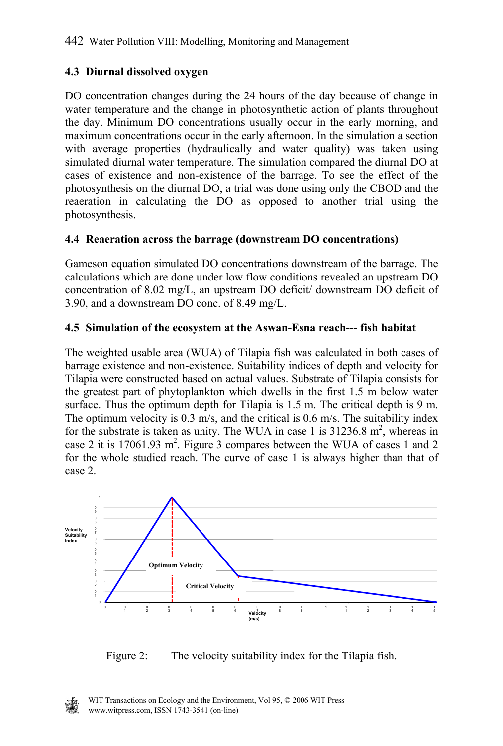### **4.3 Diurnal dissolved oxygen**

DO concentration changes during the 24 hours of the day because of change in water temperature and the change in photosynthetic action of plants throughout the day. Minimum DO concentrations usually occur in the early morning, and maximum concentrations occur in the early afternoon. In the simulation a section with average properties (hydraulically and water quality) was taken using simulated diurnal water temperature. The simulation compared the diurnal DO at cases of existence and non-existence of the barrage. To see the effect of the photosynthesis on the diurnal DO, a trial was done using only the CBOD and the reaeration in calculating the DO as opposed to another trial using the photosynthesis.

### **4.4 Reaeration across the barrage (downstream DO concentrations)**

Gameson equation simulated DO concentrations downstream of the barrage. The calculations which are done under low flow conditions revealed an upstream DO concentration of 8.02 mg/L, an upstream DO deficit/ downstream DO deficit of 3.90, and a downstream DO conc. of 8.49 mg/L.

### **4.5 Simulation of the ecosystem at the Aswan-Esna reach--- fish habitat**

The weighted usable area (WUA) of Tilapia fish was calculated in both cases of barrage existence and non-existence. Suitability indices of depth and velocity for Tilapia were constructed based on actual values. Substrate of Tilapia consists for the greatest part of phytoplankton which dwells in the first 1.5 m below water surface. Thus the optimum depth for Tilapia is 1.5 m. The critical depth is 9 m. The optimum velocity is 0.3 m/s, and the critical is 0.6 m/s. The suitability index for the substrate is taken as unity. The WUA in case 1 is  $31236.8$  m<sup>2</sup>, whereas in case 2 it is 17061.93  $m^2$ . Figure 3 compares between the WUA of cases 1 and 2 for the whole studied reach. The curve of case 1 is always higher than that of case 2.



Figure 2: The velocity suitability index for the Tilapia fish.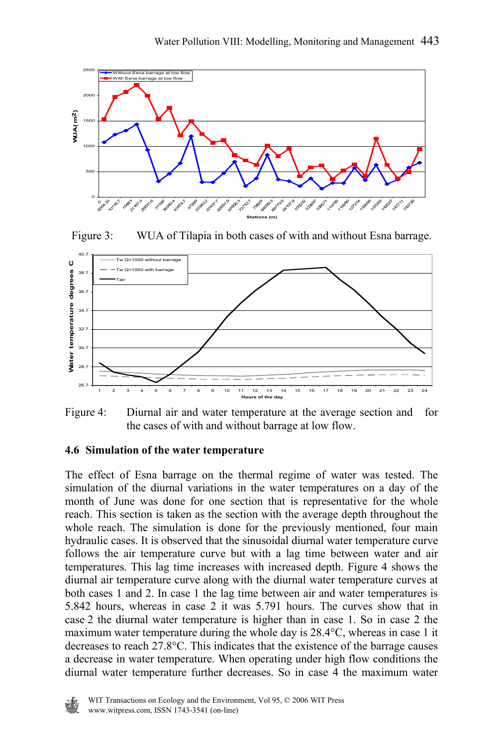

Figure 3: WUA of Tilapia in both cases of with and without Esna barrage.



Figure 4: Diurnal air and water temperature at the average section and for the cases of with and without barrage at low flow.

#### **4.6 Simulation of the water temperature**

The effect of Esna barrage on the thermal regime of water was tested. The simulation of the diurnal variations in the water temperatures on a day of the month of June was done for one section that is representative for the whole reach. This section is taken as the section with the average depth throughout the whole reach. The simulation is done for the previously mentioned, four main hydraulic cases. It is observed that the sinusoidal diurnal water temperature curve follows the air temperature curve but with a lag time between water and air temperatures. This lag time increases with increased depth. Figure 4 shows the diurnal air temperature curve along with the diurnal water temperature curves at both cases 1 and 2. In case 1 the lag time between air and water temperatures is 5.842 hours, whereas in case 2 it was 5.791 hours. The curves show that in case 2 the diurnal water temperature is higher than in case 1. So in case 2 the maximum water temperature during the whole day is  $28.4^{\circ}$ C, whereas in case 1 it decreases to reach 27.8°C. This indicates that the existence of the barrage causes a decrease in water temperature. When operating under high flow conditions the diurnal water temperature further decreases. So in case 4 the maximum water